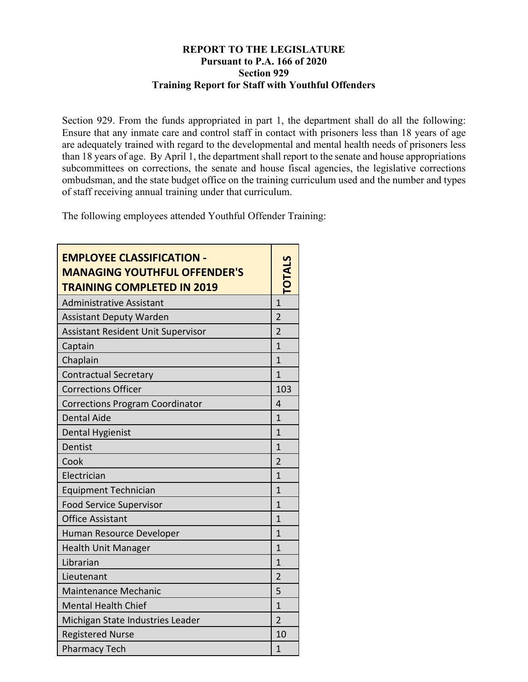## **REPORT TO THE LEGISLATURE Pursuant to P.A. 166 of 2020 Section 929 Training Report for Staff with Youthful Offenders**

Section 929. From the funds appropriated in part 1, the department shall do all the following: Ensure that any inmate care and control staff in contact with prisoners less than 18 years of age are adequately trained with regard to the developmental and mental health needs of prisoners less than 18 years of age. By April 1, the department shall report to the senate and house appropriations subcommittees on corrections, the senate and house fiscal agencies, the legislative corrections ombudsman, and the state budget office on the training curriculum used and the number and types of staff receiving annual training under that curriculum.

The following employees attended Youthful Offender Training:

| <b>EMPLOYEE CLASSIFICATION -</b><br><b>MANAGING YOUTHFUL OFFENDER'S</b><br><b>TRAINING COMPLETED IN 2019</b> |                |
|--------------------------------------------------------------------------------------------------------------|----------------|
| <b>Administrative Assistant</b>                                                                              | 1              |
| <b>Assistant Deputy Warden</b>                                                                               | $\overline{2}$ |
| <b>Assistant Resident Unit Supervisor</b>                                                                    | $\overline{2}$ |
| Captain                                                                                                      | $\mathbf{1}$   |
| Chaplain                                                                                                     | $\mathbf{1}$   |
| <b>Contractual Secretary</b>                                                                                 | $\mathbf{1}$   |
| <b>Corrections Officer</b>                                                                                   | 103            |
| <b>Corrections Program Coordinator</b>                                                                       | 4              |
| <b>Dental Aide</b>                                                                                           | $\mathbf{1}$   |
| <b>Dental Hygienist</b>                                                                                      | $\mathbf{1}$   |
| Dentist                                                                                                      | 1              |
| Cook                                                                                                         | $\overline{2}$ |
| Electrician                                                                                                  | $\overline{1}$ |
| <b>Equipment Technician</b>                                                                                  | $\overline{1}$ |
| <b>Food Service Supervisor</b>                                                                               | $\mathbf{1}$   |
| <b>Office Assistant</b>                                                                                      | $\mathbf{1}$   |
| Human Resource Developer                                                                                     | $\overline{1}$ |
| <b>Health Unit Manager</b>                                                                                   | $\mathbf{1}$   |
| Librarian                                                                                                    | $\mathbf{1}$   |
| Lieutenant                                                                                                   | $\overline{2}$ |
| <b>Maintenance Mechanic</b>                                                                                  | 5              |
| <b>Mental Health Chief</b>                                                                                   | $\overline{1}$ |
| Michigan State Industries Leader                                                                             | $\overline{2}$ |
| <b>Registered Nurse</b>                                                                                      | 10             |
| <b>Pharmacy Tech</b>                                                                                         | $\mathbf{1}$   |